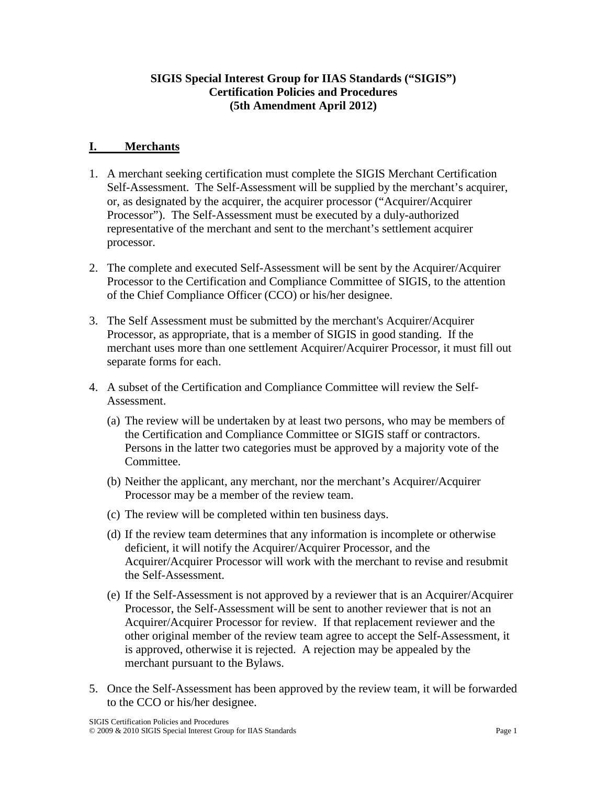# **SIGIS Special Interest Group for IIAS Standards ("SIGIS") Certification Policies and Procedures (5th Amendment April 2012)**

# **I. Merchants**

- 1. A merchant seeking certification must complete the SIGIS Merchant Certification Self-Assessment. The Self-Assessment will be supplied by the merchant's acquirer, or, as designated by the acquirer, the acquirer processor ("Acquirer/Acquirer Processor"). The Self-Assessment must be executed by a duly-authorized representative of the merchant and sent to the merchant's settlement acquirer processor.
- 2. The complete and executed Self-Assessment will be sent by the Acquirer/Acquirer Processor to the Certification and Compliance Committee of SIGIS, to the attention of the Chief Compliance Officer (CCO) or his/her designee.
- 3. The Self Assessment must be submitted by the merchant's Acquirer/Acquirer Processor, as appropriate, that is a member of SIGIS in good standing. If the merchant uses more than one settlement Acquirer/Acquirer Processor, it must fill out separate forms for each.
- 4. A subset of the Certification and Compliance Committee will review the Self-Assessment.
	- (a) The review will be undertaken by at least two persons, who may be members of the Certification and Compliance Committee or SIGIS staff or contractors. Persons in the latter two categories must be approved by a majority vote of the Committee.
	- (b) Neither the applicant, any merchant, nor the merchant's Acquirer/Acquirer Processor may be a member of the review team.
	- (c) The review will be completed within ten business days.
	- (d) If the review team determines that any information is incomplete or otherwise deficient, it will notify the Acquirer/Acquirer Processor, and the Acquirer/Acquirer Processor will work with the merchant to revise and resubmit the Self-Assessment.
	- (e) If the Self-Assessment is not approved by a reviewer that is an Acquirer/Acquirer Processor, the Self-Assessment will be sent to another reviewer that is not an Acquirer/Acquirer Processor for review. If that replacement reviewer and the other original member of the review team agree to accept the Self-Assessment, it is approved, otherwise it is rejected. A rejection may be appealed by the merchant pursuant to the Bylaws.
- 5. Once the Self-Assessment has been approved by the review team, it will be forwarded to the CCO or his/her designee.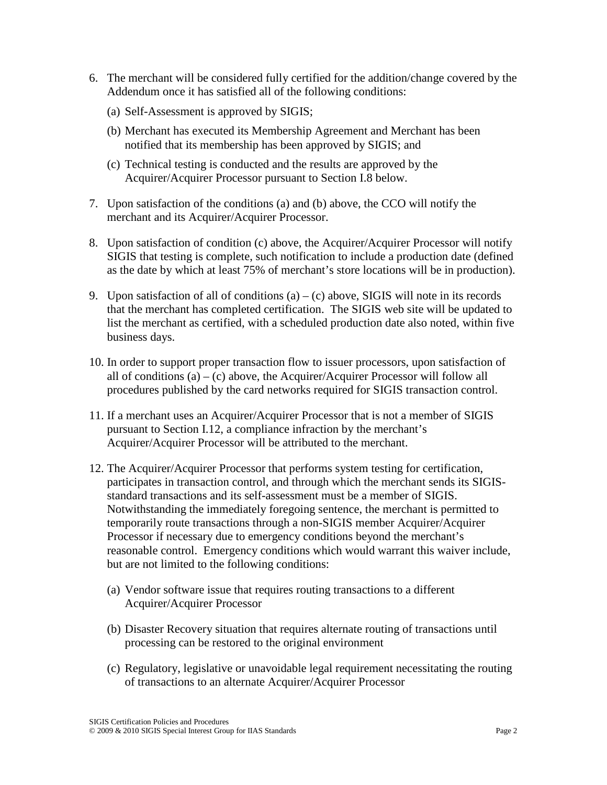- 6. The merchant will be considered fully certified for the addition/change covered by the Addendum once it has satisfied all of the following conditions:
	- (a) Self-Assessment is approved by SIGIS;
	- (b) Merchant has executed its Membership Agreement and Merchant has been notified that its membership has been approved by SIGIS; and
	- (c) Technical testing is conducted and the results are approved by the Acquirer/Acquirer Processor pursuant to Section I.8 below.
- 7. Upon satisfaction of the conditions (a) and (b) above, the CCO will notify the merchant and its Acquirer/Acquirer Processor.
- 8. Upon satisfaction of condition (c) above, the Acquirer/Acquirer Processor will notify SIGIS that testing is complete, such notification to include a production date (defined as the date by which at least 75% of merchant's store locations will be in production).
- 9. Upon satisfaction of all of conditions  $(a) (c)$  above, SIGIS will note in its records that the merchant has completed certification. The SIGIS web site will be updated to list the merchant as certified, with a scheduled production date also noted, within five business days.
- 10. In order to support proper transaction flow to issuer processors, upon satisfaction of all of conditions  $(a) - (c)$  above, the Acquirer/Acquirer Processor will follow all procedures published by the card networks required for SIGIS transaction control.
- 11. If a merchant uses an Acquirer/Acquirer Processor that is not a member of SIGIS pursuant to Section I.12, a compliance infraction by the merchant's Acquirer/Acquirer Processor will be attributed to the merchant.
- 12. The Acquirer/Acquirer Processor that performs system testing for certification, participates in transaction control, and through which the merchant sends its SIGISstandard transactions and its self-assessment must be a member of SIGIS. Notwithstanding the immediately foregoing sentence, the merchant is permitted to temporarily route transactions through a non-SIGIS member Acquirer/Acquirer Processor if necessary due to emergency conditions beyond the merchant's reasonable control. Emergency conditions which would warrant this waiver include, but are not limited to the following conditions:
	- (a) Vendor software issue that requires routing transactions to a different Acquirer/Acquirer Processor
	- (b) Disaster Recovery situation that requires alternate routing of transactions until processing can be restored to the original environment
	- (c) Regulatory, legislative or unavoidable legal requirement necessitating the routing of transactions to an alternate Acquirer/Acquirer Processor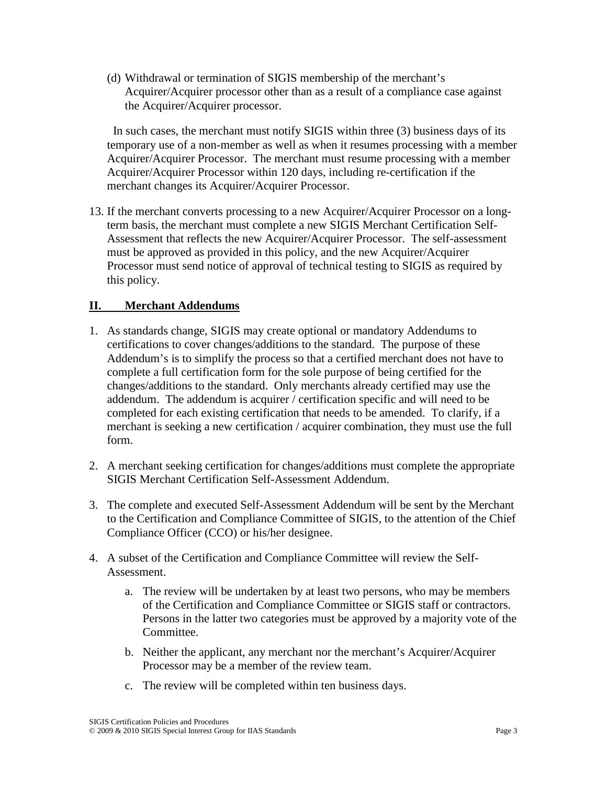(d) Withdrawal or termination of SIGIS membership of the merchant's Acquirer/Acquirer processor other than as a result of a compliance case against the Acquirer/Acquirer processor.

 In such cases, the merchant must notify SIGIS within three (3) business days of its temporary use of a non-member as well as when it resumes processing with a member Acquirer/Acquirer Processor. The merchant must resume processing with a member Acquirer/Acquirer Processor within 120 days, including re-certification if the merchant changes its Acquirer/Acquirer Processor.

13. If the merchant converts processing to a new Acquirer/Acquirer Processor on a longterm basis, the merchant must complete a new SIGIS Merchant Certification Self-Assessment that reflects the new Acquirer/Acquirer Processor. The self-assessment must be approved as provided in this policy, and the new Acquirer/Acquirer Processor must send notice of approval of technical testing to SIGIS as required by this policy.

# **II. Merchant Addendums**

- 1. As standards change, SIGIS may create optional or mandatory Addendums to certifications to cover changes/additions to the standard. The purpose of these Addendum's is to simplify the process so that a certified merchant does not have to complete a full certification form for the sole purpose of being certified for the changes/additions to the standard. Only merchants already certified may use the addendum. The addendum is acquirer / certification specific and will need to be completed for each existing certification that needs to be amended. To clarify, if a merchant is seeking a new certification / acquirer combination, they must use the full form.
- 2. A merchant seeking certification for changes/additions must complete the appropriate SIGIS Merchant Certification Self-Assessment Addendum.
- 3. The complete and executed Self-Assessment Addendum will be sent by the Merchant to the Certification and Compliance Committee of SIGIS, to the attention of the Chief Compliance Officer (CCO) or his/her designee.
- 4. A subset of the Certification and Compliance Committee will review the Self-Assessment.
	- a. The review will be undertaken by at least two persons, who may be members of the Certification and Compliance Committee or SIGIS staff or contractors. Persons in the latter two categories must be approved by a majority vote of the Committee.
	- b. Neither the applicant, any merchant nor the merchant's Acquirer/Acquirer Processor may be a member of the review team.
	- c. The review will be completed within ten business days.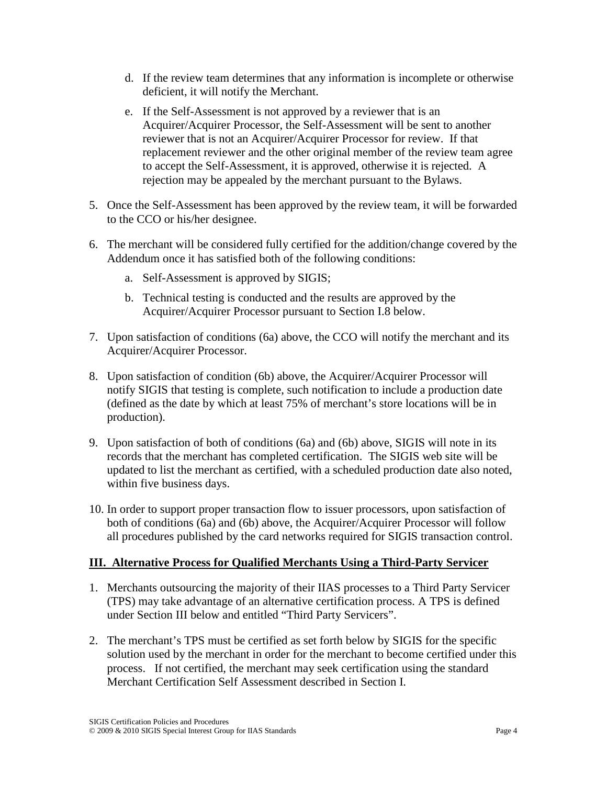- d. If the review team determines that any information is incomplete or otherwise deficient, it will notify the Merchant.
- e. If the Self-Assessment is not approved by a reviewer that is an Acquirer/Acquirer Processor, the Self-Assessment will be sent to another reviewer that is not an Acquirer/Acquirer Processor for review. If that replacement reviewer and the other original member of the review team agree to accept the Self-Assessment, it is approved, otherwise it is rejected. A rejection may be appealed by the merchant pursuant to the Bylaws.
- 5. Once the Self-Assessment has been approved by the review team, it will be forwarded to the CCO or his/her designee.
- 6. The merchant will be considered fully certified for the addition/change covered by the Addendum once it has satisfied both of the following conditions:
	- a. Self-Assessment is approved by SIGIS;
	- b. Technical testing is conducted and the results are approved by the Acquirer/Acquirer Processor pursuant to Section I.8 below.
- 7. Upon satisfaction of conditions (6a) above, the CCO will notify the merchant and its Acquirer/Acquirer Processor.
- 8. Upon satisfaction of condition (6b) above, the Acquirer/Acquirer Processor will notify SIGIS that testing is complete, such notification to include a production date (defined as the date by which at least 75% of merchant's store locations will be in production).
- 9. Upon satisfaction of both of conditions (6a) and (6b) above, SIGIS will note in its records that the merchant has completed certification. The SIGIS web site will be updated to list the merchant as certified, with a scheduled production date also noted, within five business days.
- 10. In order to support proper transaction flow to issuer processors, upon satisfaction of both of conditions (6a) and (6b) above, the Acquirer/Acquirer Processor will follow all procedures published by the card networks required for SIGIS transaction control.

# **III. Alternative Process for Qualified Merchants Using a Third-Party Servicer**

- 1. Merchants outsourcing the majority of their IIAS processes to a Third Party Servicer (TPS) may take advantage of an alternative certification process. A TPS is defined under Section III below and entitled "Third Party Servicers".
- 2. The merchant's TPS must be certified as set forth below by SIGIS for the specific solution used by the merchant in order for the merchant to become certified under this process. If not certified, the merchant may seek certification using the standard Merchant Certification Self Assessment described in Section I.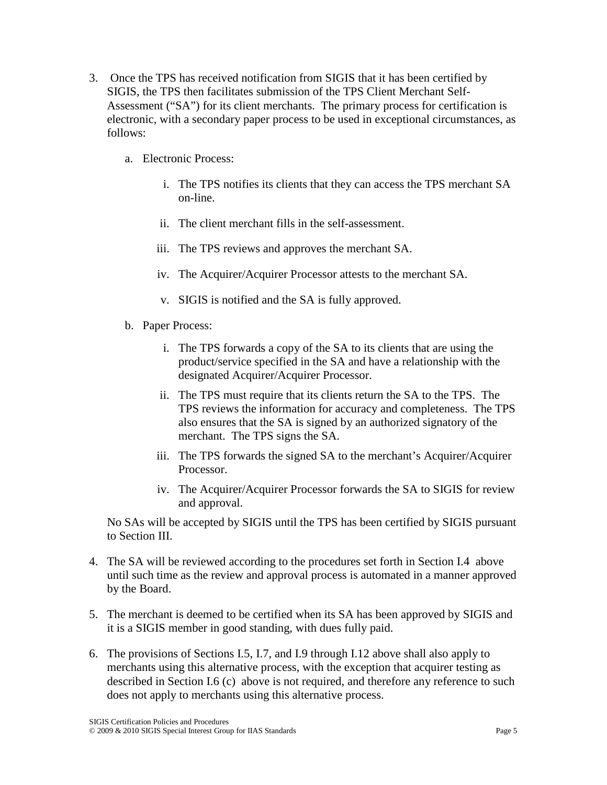- 3. Once the TPS has received notification from SIGIS that it has been certified by SIGIS, the TPS then facilitates submission of the TPS Client Merchant Self-Assessment ("SA") for its client merchants. The primary process for certification is electronic, with a secondary paper process to be used in exceptional circumstances, as follows:
	- a. Electronic Process:
		- i. The TPS notifies its clients that they can access the TPS merchant SA on-line.
		- ii. The client merchant fills in the self-assessment.
		- iii. The TPS reviews and approves the merchant SA.
		- iv. The Acquirer/Acquirer Processor attests to the merchant SA.
		- v. SIGIS is notified and the SA is fully approved.
	- b. Paper Process:
		- i. The TPS forwards a copy of the SA to its clients that are using the product/service specified in the SA and have a relationship with the designated Acquirer/Acquirer Processor.
		- ii. The TPS must require that its clients return the SA to the TPS. The TPS reviews the information for accuracy and completeness. The TPS also ensures that the SA is signed by an authorized signatory of the merchant. The TPS signs the SA.
		- iii. The TPS forwards the signed SA to the merchant's Acquirer/Acquirer Processor.
		- iv. The Acquirer/Acquirer Processor forwards the SA to SIGIS for review and approval.

No SAs will be accepted by SIGIS until the TPS has been certified by SIGIS pursuant to Section III.

- 4. The SA will be reviewed according to the procedures set forth in Section I.4 above until such time as the review and approval process is automated in a manner approved by the Board.
- 5. The merchant is deemed to be certified when its SA has been approved by SIGIS and it is a SIGIS member in good standing, with dues fully paid.
- 6. The provisions of Sections I.5, I.7, and I.9 through I.12 above shall also apply to merchants using this alternative process, with the exception that acquirer testing as described in Section I.6 (c) above is not required, and therefore any reference to such does not apply to merchants using this alternative process.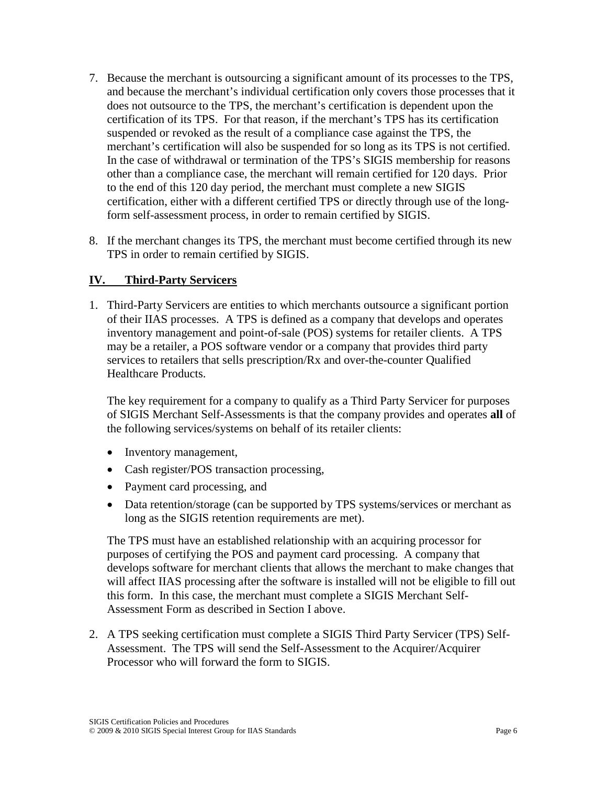- 7. Because the merchant is outsourcing a significant amount of its processes to the TPS, and because the merchant's individual certification only covers those processes that it does not outsource to the TPS, the merchant's certification is dependent upon the certification of its TPS. For that reason, if the merchant's TPS has its certification suspended or revoked as the result of a compliance case against the TPS, the merchant's certification will also be suspended for so long as its TPS is not certified. In the case of withdrawal or termination of the TPS's SIGIS membership for reasons other than a compliance case, the merchant will remain certified for 120 days. Prior to the end of this 120 day period, the merchant must complete a new SIGIS certification, either with a different certified TPS or directly through use of the longform self-assessment process, in order to remain certified by SIGIS.
- 8. If the merchant changes its TPS, the merchant must become certified through its new TPS in order to remain certified by SIGIS.

# **IV. Third-Party Servicers**

1. Third-Party Servicers are entities to which merchants outsource a significant portion of their IIAS processes. A TPS is defined as a company that develops and operates inventory management and point-of-sale (POS) systems for retailer clients. A TPS may be a retailer, a POS software vendor or a company that provides third party services to retailers that sells prescription/Rx and over-the-counter Qualified Healthcare Products.

The key requirement for a company to qualify as a Third Party Servicer for purposes of SIGIS Merchant Self-Assessments is that the company provides and operates **all** of the following services/systems on behalf of its retailer clients:

- Inventory management,
- Cash register/POS transaction processing,
- Payment card processing, and
- Data retention/storage (can be supported by TPS systems/services or merchant as long as the SIGIS retention requirements are met).

The TPS must have an established relationship with an acquiring processor for purposes of certifying the POS and payment card processing. A company that develops software for merchant clients that allows the merchant to make changes that will affect IIAS processing after the software is installed will not be eligible to fill out this form. In this case, the merchant must complete a SIGIS Merchant Self-Assessment Form as described in Section I above.

2. A TPS seeking certification must complete a SIGIS Third Party Servicer (TPS) Self-Assessment. The TPS will send the Self-Assessment to the Acquirer/Acquirer Processor who will forward the form to SIGIS.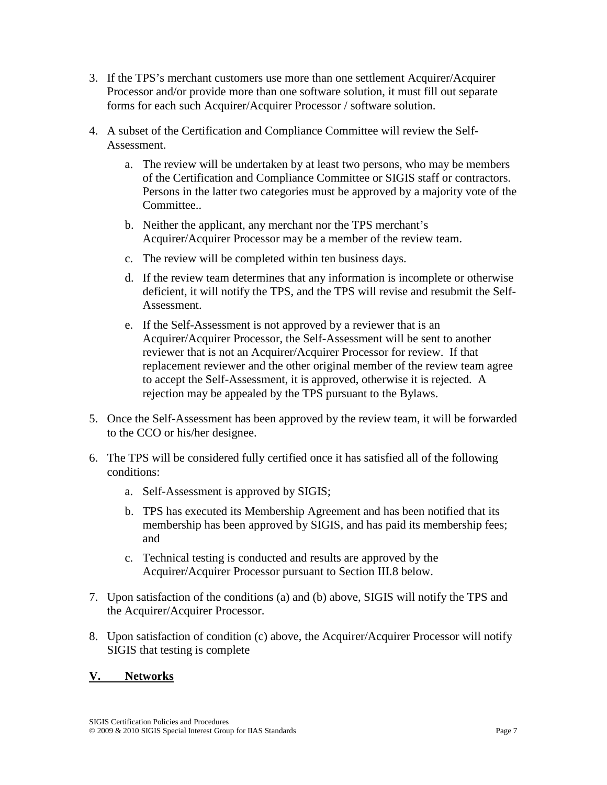- 3. If the TPS's merchant customers use more than one settlement Acquirer/Acquirer Processor and/or provide more than one software solution, it must fill out separate forms for each such Acquirer/Acquirer Processor / software solution.
- 4. A subset of the Certification and Compliance Committee will review the Self-Assessment.
	- a. The review will be undertaken by at least two persons, who may be members of the Certification and Compliance Committee or SIGIS staff or contractors. Persons in the latter two categories must be approved by a majority vote of the Committee..
	- b. Neither the applicant, any merchant nor the TPS merchant's Acquirer/Acquirer Processor may be a member of the review team.
	- c. The review will be completed within ten business days.
	- d. If the review team determines that any information is incomplete or otherwise deficient, it will notify the TPS, and the TPS will revise and resubmit the Self-Assessment.
	- e. If the Self-Assessment is not approved by a reviewer that is an Acquirer/Acquirer Processor, the Self-Assessment will be sent to another reviewer that is not an Acquirer/Acquirer Processor for review. If that replacement reviewer and the other original member of the review team agree to accept the Self-Assessment, it is approved, otherwise it is rejected. A rejection may be appealed by the TPS pursuant to the Bylaws.
- 5. Once the Self-Assessment has been approved by the review team, it will be forwarded to the CCO or his/her designee.
- 6. The TPS will be considered fully certified once it has satisfied all of the following conditions:
	- a. Self-Assessment is approved by SIGIS;
	- b. TPS has executed its Membership Agreement and has been notified that its membership has been approved by SIGIS, and has paid its membership fees; and
	- c. Technical testing is conducted and results are approved by the Acquirer/Acquirer Processor pursuant to Section III.8 below.
- 7. Upon satisfaction of the conditions (a) and (b) above, SIGIS will notify the TPS and the Acquirer/Acquirer Processor.
- 8. Upon satisfaction of condition (c) above, the Acquirer/Acquirer Processor will notify SIGIS that testing is complete

### **V. Networks**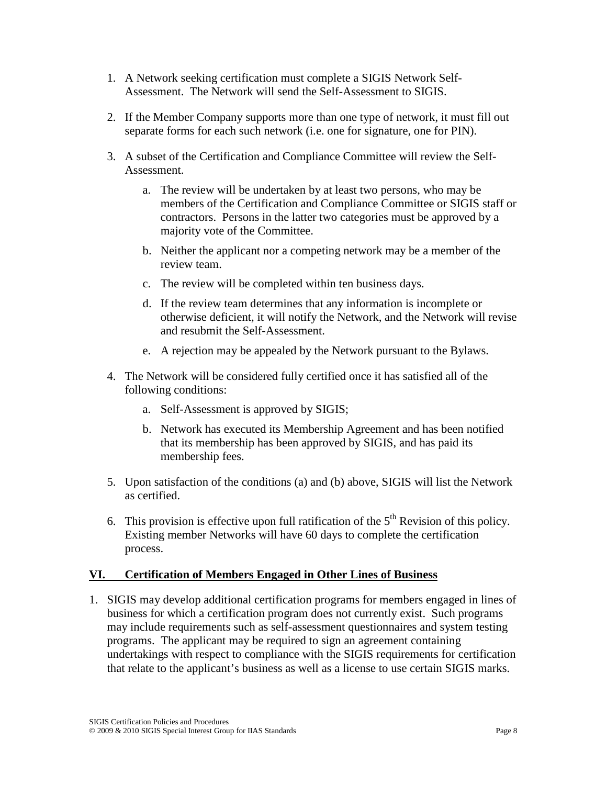- 1. A Network seeking certification must complete a SIGIS Network Self-Assessment. The Network will send the Self-Assessment to SIGIS.
- 2. If the Member Company supports more than one type of network, it must fill out separate forms for each such network (i.e. one for signature, one for PIN).
- 3. A subset of the Certification and Compliance Committee will review the Self-Assessment.
	- a. The review will be undertaken by at least two persons, who may be members of the Certification and Compliance Committee or SIGIS staff or contractors. Persons in the latter two categories must be approved by a majority vote of the Committee.
	- b. Neither the applicant nor a competing network may be a member of the review team.
	- c. The review will be completed within ten business days.
	- d. If the review team determines that any information is incomplete or otherwise deficient, it will notify the Network, and the Network will revise and resubmit the Self-Assessment.
	- e. A rejection may be appealed by the Network pursuant to the Bylaws.
- 4. The Network will be considered fully certified once it has satisfied all of the following conditions:
	- a. Self-Assessment is approved by SIGIS;
	- b. Network has executed its Membership Agreement and has been notified that its membership has been approved by SIGIS, and has paid its membership fees.
- 5. Upon satisfaction of the conditions (a) and (b) above, SIGIS will list the Network as certified.
- 6. This provision is effective upon full ratification of the  $5<sup>th</sup>$  Revision of this policy. Existing member Networks will have 60 days to complete the certification process.

# **VI. Certification of Members Engaged in Other Lines of Business**

1. SIGIS may develop additional certification programs for members engaged in lines of business for which a certification program does not currently exist. Such programs may include requirements such as self-assessment questionnaires and system testing programs. The applicant may be required to sign an agreement containing undertakings with respect to compliance with the SIGIS requirements for certification that relate to the applicant's business as well as a license to use certain SIGIS marks.